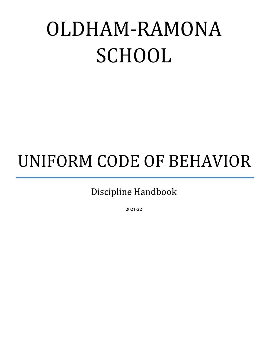# OLDHAM-RAMONA SCHOOL

# UNIFORM CODE OF BEHAVIOR

Discipline Handbook

**2021-22**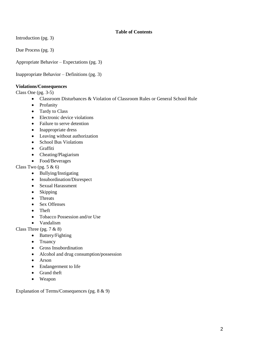# **Table of Contents**

Introduction (pg. 3)

Due Process (pg. 3)

Appropriate Behavior – Expectations (pg. 3)

Inappropriate Behavior – Definitions (pg. 3)

#### **Violations/Consequences**

Class One (pg. 3-5)

- Classroom Disturbances & Violation of Classroom Rules or General School Rule
- Profanity
- Tardy to Class
- Electronic device violations
- Failure to serve detention
- Inappropriate dress
- Leaving without authorization
- School Bus Violations
- Graffiti
- Cheating/Plagiarism
- Food/Beverages

Class Two (pg.  $5 \& 6$ )

- Bullying/Instigating
- Insubordination/Disrespect
- Sexual Harassment
- Skipping
- Threats
- Sex Offenses
- Theft
- Tobacco Possession and/or Use
- Vandalism

Class Three (pg.  $7 & 8$ )

- Battery/Fighting
- Truancy
- Gross Insubordination
- Alcohol and drug consumption/possession
- Arson
- Endangerment to life
- Grand theft
- Weapon

Explanation of Terms/Consequences (pg. 8 & 9)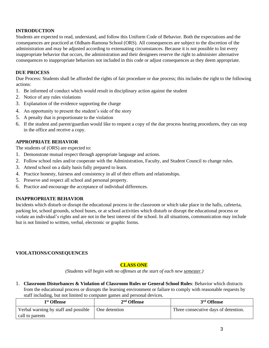# **INTRODUCTION**

Students are expected to read, understand, and follow this Uniform Code of Behavior. Both the expectations and the consequences are practiced at Oldham-Ramona School (ORS). All consequences are subject to the discretion of the administration and may be adjusted according to extenuating circumstances. Because it is not possible to list every inappropriate behavior that occurs, the administration and their designees reserve the right to administer alternative consequences to inappropriate behaviors not included in this code or adjust consequences as they deem appropriate.

#### **DUE PROCESS**

Due Process: Students shall be afforded the rights of fair procedure or due process; this includes the right to the following actions:

- 1. Be informed of conduct which would result in disciplinary action against the student
- 2. Notice of any rules violations
- 3. Explanation of the evidence supporting the charge
- 4. An opportunity to present the student's side of the story
- 5. A penalty that is proportionate to the violation
- 6. If the student and parent/guardian would like to request a copy of the due process hearing procedures, they can stop in the office and receive a copy.

#### **APPROPRIATE BEHAVIOR**

The students of (ORS) are expected to:

- 1. Demonstrate mutual respect through appropriate language and actions.
- 2. Follow school rules and/or cooperate with the Administration, Faculty, and Student Council to change rules.
- 3. Attend school on a daily basis fully prepared to learn.
- 4. Practice honesty, fairness and consistency in all of their efforts and relationships.
- 5. Preserve and respect all school and personal property.
- 6. Practice and encourage the acceptance of individual differences.

#### **INAPPROPRIATE BEHAVIOR**

Incidents which disturb or disrupt the educational process in the classroom or which take place in the halls, cafeteria, parking lot, school grounds, school buses, or at school activities which disturb or disrupt the educational process or violate an individual's rights and are not in the best interest of the school. In all situations, communication may include but is not limited to written, verbal, electronic or graphic forms.

#### **VIOLATIONS/CONSEQUENCES**

# **CLASS ONE**

*(Students will begin with no offenses at the start of each new semester.)*

1. **Classroom Disturbances & Violation of Classroom Rules or General School Rules**: Behavior which distracts from the educational process or disrupts the learning environment or failure to comply with reasonable requests by staff including, but not limited to computer games and personal devices.

| 1 <sup>st</sup> Offense              | $2nd$ Offense | 3 <sup>rd</sup> Offense              |
|--------------------------------------|---------------|--------------------------------------|
| Verbal warning by staff and possible | One detention | Three consecutive days of detention. |
| call to parents                      |               |                                      |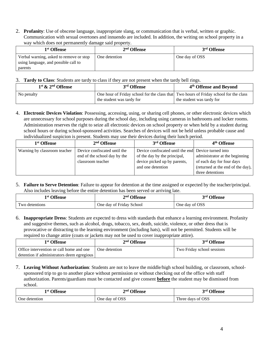2. **Profanity**: Use of obscene language, inappropriate slang, or communication that is verbal, written or graphic. Communication with sexual overtones and innuendo are included. In addition, the writing on school property in a way which does not permanently damage said property.

| 1 <sup>st</sup> Offense                                                         | $2nd$ Offense | 3 <sup>rd</sup> Offense |
|---------------------------------------------------------------------------------|---------------|-------------------------|
| Verbal warning, asked to remove or stop<br>using language, and possible call to | One detention | One day of OSS          |
| parents                                                                         |               |                         |

#### 3. **Tardy to Class**: Students are tardy to class if they are not present when the tardy bell rings.

| $1st$ & $2nd$ Offense | 3 <sup>rd</sup> Offense                                                                                            | 4 <sup>th</sup> Offense and Beyond |
|-----------------------|--------------------------------------------------------------------------------------------------------------------|------------------------------------|
| No penalty            | One hour of Friday school for the class that Two hours of Friday school for the class<br>the student was tardy for | the student was tardy for          |

4. **Electronic Devices Violation**: Possessing, accessing, using, or sharing cell phones, or other electronic devices which are unnecessary for school purposes during the school day, including using cameras in bathrooms and locker rooms. Administration reserves the right to seize all electronic devices on school property or when held by a student during school hours or during school-sponsored activities. Searches of devices will not be held unless probable cause and individualized suspicion is present. Students may use their devices during their lunch period.

| 1 <sup>st</sup> Offense      | 2 <sup>nd</sup> Offense      | 3rd Offense                                         | 4 <sup>th</sup> Offense           |
|------------------------------|------------------------------|-----------------------------------------------------|-----------------------------------|
| Warning by classroom teacher | Device confiscated until the | Device confiscated until the end Device turned into |                                   |
|                              | end of the school day by the | of the day by the principal,                        | administrator at the beginning    |
|                              | classroom teacher            | device picked up by parents,                        | of each day for four days         |
|                              |                              | and one detention                                   | (returned at the end of the day), |
|                              |                              |                                                     | three detentions                  |

5. **Failure to Serve Detention**: Failure to appear for detention at the time assigned or expected by the teacher/principal. Also includes leaving before the entire detention has been served or arriving late.

| l <sup>st</sup> Offense | $\boldsymbol{\gamma}$ nd.<br><b>Offense</b> | <sup>3rd</sup> Offense |
|-------------------------|---------------------------------------------|------------------------|
| I wo detentions         | One day of Friday School                    | One day of OSS         |

6. **Inappropriate Dress**: Students are expected to dress with standards that enhance a learning environment. Profanity and suggestive themes, such as alcohol, drugs, tobacco, sex, death, suicide, violence, or other dress that is provocative or distracting to the learning environment (including hats), will not be permitted. Students will be required to change attire (coats or jackets may not be used to cover inappropriate attire).

| 1 <sup>st</sup> Offense                    | $2nd$ Offense | 3 <sup>rd</sup> Offense    |
|--------------------------------------------|---------------|----------------------------|
| Office intervention or call home and one   | One detention | Two Friday school sessions |
| detention if administrators deem egregious |               |                            |

7. **Leaving Without Authorization**: Students are not to leave the middle/high school building, or classroom, schoolsponsored trip to go to another place without permission or without checking out of the office with staff authorization. Parents/guardians must be contacted and give consent **before** the student may be dismissed from school.

| 1st Offense   | <b>Offense</b><br>2nd             | $\Omega$<br>2rd<br><b>Tense</b> |
|---------------|-----------------------------------|---------------------------------|
| One detention | <b>OSS</b><br>One day of $\prime$ | Three days of OSS<br>m          |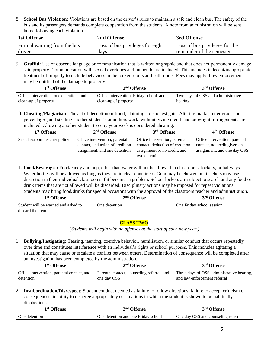8. **School Bus Violation:** Violations are based on the driver's rules to maintain a safe and clean bus. The safety of the bus and its passengers demands complete cooperation from the students. A note from administration will be sent home following each violation.

| 1st Offense                 | 2nd Offense                      | 3rd Offense                    |
|-----------------------------|----------------------------------|--------------------------------|
| Formal warning from the bus | Loss of bus privileges for eight | Loss of bus privileges for the |
| driver                      | davs                             | remainder of the semester      |

9. **Graffiti**: Use of obscene language or communication that is written or graphic and that does not permanently damage said property. Communication with sexual overtones and innuendo are included. This includes indecent/inappropriate treatment of property to include behaviors in the locker rooms and bathrooms. Fees may apply. Law enforcement may be notified of the damage to property.

| 1 <sup>st</sup> Offense                 | $2nd$ Offense                           | 3rd Offense                        |
|-----------------------------------------|-----------------------------------------|------------------------------------|
| Office intervention, one detention, and | Office intervention, Friday school, and | Two days of OSS and administrative |
| clean-up of property                    | clean-up of property                    | hearing                            |

10. **Cheating/Plagiarism**: The act of deception or fraud; claiming a dishonest gain. Altering marks, letter grades or percentages, and stealing another student's or authors work, without giving credit, and copyright infringements are included. Allowing another student to copy your work is considered cheating.

| 1 <sup>st</sup> Offense      | $2nd$ Offense                                                                                     | 3 <sup>rd</sup> Offense                                                                                            | 4 <sup>th</sup> Offense                                                                     |
|------------------------------|---------------------------------------------------------------------------------------------------|--------------------------------------------------------------------------------------------------------------------|---------------------------------------------------------------------------------------------|
| See classroom teacher policy | Office intervention, parental<br>contact, deduction of credit on<br>assignment, and one detention | Office intervention, parental<br>contact, deduction of credit on<br>assignment or no credit, and<br>two detentions | Office intervention, parental<br>contact, no credit given on<br>assignment, and one day OSS |

11. **Food/Beverages:** Food/candy and pop, other than water will not be allowed in classrooms, lockers, or hallways. Water bottles will be allowed as long as they are in clear containers. Gum may be chewed but teachers may use discretion in their individual classrooms if it becomes a problem. School lockers are subject to search and any food or drink items that are not allowed will be discarded. Disciplinary actions may be imposed for repeat violations. Students may bring food/drinks for special occasions with the approval of the classroom teacher and administration.

| 1 <sup>st</sup> Offense                                 | 2 <sup>nd</sup> Offense | 3rd Offense               |
|---------------------------------------------------------|-------------------------|---------------------------|
| Student will be warned and asked to<br>discard the item | One detention           | One Friday school session |

# **CLASS TWO**

*(Students will begin with no offenses at the start of each new year.)*

1. **Bullying/Instigating:** Teasing, taunting, coercive behavior, humiliation, or similar conduct that occurs repeatedly over time and constitutes interference with an individual's rights or school purposes. This includes agitating a situation that may cause or escalate a conflict between others. Determination of consequence will be completed after an investigation has been completed by the administration.

| 1 <sup>st</sup> Offense                    | $2nd$ Offense                              | 3rd Offense                                |
|--------------------------------------------|--------------------------------------------|--------------------------------------------|
| Office intervention, parental contact, and | Parental contact, counseling referral, and | Three days of OSS, administrative hearing, |
| detention                                  | one day OSS                                | and law enforcement referral               |

2. **Insubordination/Disrespect**: Student conduct deemed as failure to follow directions, failure to accept criticism or consequences, inability to disagree appropriately or situations in which the student is shown to be habitually disobedient.

| l <sup>st</sup> Offense | <b>Offense</b><br>nd,               | <sup>3rd</sup> Offense              |
|-------------------------|-------------------------------------|-------------------------------------|
| One detention           | One detention and one Fridav school | One day OSS and counseling referral |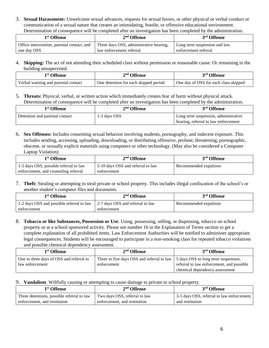3. **Sexual Harassment:** Unwelcome sexual advances, requests for sexual favors, or other physical or verbal conduct or communication of a sexual nature that creates an intimidating, hostile, or offensive educational environment. Determination of consequence will be completed after an investigation has been completed by the administration.

| 1 <sup>st</sup> Offense                    | $2nd$ Offense                           | 3 <sup>rd</sup> Offense      |
|--------------------------------------------|-----------------------------------------|------------------------------|
| Office intervention, parental contact, and | Three days OSS, administrative hearing, | Long term suspension and law |
| one day OSS                                | law enforcement referral                | enforcement referral         |

4. **Skipping:** The act of not attending their scheduled class without permission or reasonable cause. Or remaining in the building unsupervised.

| <sup>1st</sup> Offense              | $2nd$ Offense                         | 3 <sup>rd</sup> Offense               |
|-------------------------------------|---------------------------------------|---------------------------------------|
| Verbal warning and parental contact | One detention for each skipped period | One day of OSS for each class skipped |

5. **Threats:** Physical, verbal, or written action which immediately creates fear of harm without physical attack. Determination of consequence will be completed after an investigation has been completed by the administration.

| 1 <sup>st</sup> Offense        | $2nd$ Offense | 3 <sup>rd</sup> Offense              |
|--------------------------------|---------------|--------------------------------------|
| Detention and parental contact | 1-3 days OSS  | Long term suspension, administrative |
|                                |               | hearing, referral to law enforcement |

6. **Sex Offenses:** Includes consenting sexual behavior involving students, pornography, and indecent exposure. This includes sending, accessing, uploading, downloading, or distributing offensive, profane, threatening, pornographic, obscene, or sexually explicit materials using computers or other technology. (May also be considered a Computer Laptop Violation)

| 1 <sup>st</sup> Offense                | $2nd$ Offense                     | 3 <sup>rd</sup> Offense |
|----------------------------------------|-----------------------------------|-------------------------|
| 1-5 days OSS, possible referral to law | 5-10 days OSS and referral to law | Recommended expulsion   |
| enforcement, and counseling referral   | enforcement                       |                         |

7. **Theft:** Stealing or attempting to steal private or school property. This includes illegal confiscation of the school's or another student's computer files and documents.

| 1 <sup>st</sup> Offense                     | $2nd$ Offense                    | 3 <sup>rd</sup> Offense |
|---------------------------------------------|----------------------------------|-------------------------|
| 1 1-2 days OSS and possible referral to law | 2-7 days OSS and referral to law | Recommended expulsion   |
| enforcement                                 | enforcement                      |                         |

8. **Tobacco or like Substances, Possession or Use**: Using, possessing, selling, or dispensing, tobacco on school property or at a school-sponsored activity. Please see number 16 in the Explanation of Terms section to get a complete explanation of all prohibited items. Law Enforcement Authorities will be notified to administer appropriate legal consequences. Students will be encouraged to participate in a non-smoking class for repeated tobacco violations and possible chemical dependency assessment.

| 1 <sup>st</sup> Offense                  | $2nd$ Offense                                                                    | 3 <sup>rd</sup> Offense                   |
|------------------------------------------|----------------------------------------------------------------------------------|-------------------------------------------|
| One to three days of OSS and referral to | Three to five days OSS and referral to law   5 days OSS to long term suspension, |                                           |
| law enforcement                          | enforcement                                                                      | referral to law enforcement, and possible |
|                                          |                                                                                  | chemical dependency assessment            |

9. **Vandalism**: Willfully causing or attempting to cause damage to private or school property.

| 1 <sup>st</sup> Offense                    | $2nd$ Offense                 | 3 <sup>rd</sup> Offense                    |
|--------------------------------------------|-------------------------------|--------------------------------------------|
| Three detentions, possible referral to law | Two days OSS, referral to law | 3-5 days OSS, referral to law enforcement, |
| enforcement, and restitution               | enforcement, and restitution  | and restitution                            |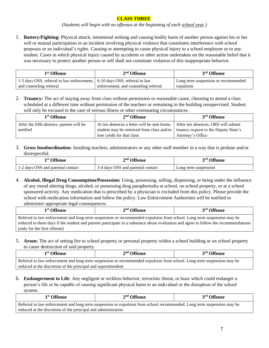# **CLASS THREE**

*(Students will begin with no offenses at the beginning of each school year.)*

1. **Battery/Fighting:** Physical attack; intentional striking and causing bodily harm of another person against his or her will or mutual participation in an incident involving physical violence that constitutes interference with school purposes or an individual's rights. Causing or attempting to cause physical injury to a school employee or to any student. Cases in which physical injury caused by accidents or other action undertaken on the reasonable belief that it was necessary to protect another person or self shall not constitute violation of this inappropriate behavior.

| 1 <sup>st</sup> Offense                                                   | $2nd$ Offense                        | 3 <sup>rd</sup> Offense             |
|---------------------------------------------------------------------------|--------------------------------------|-------------------------------------|
| 1-5 days OSS, referral to law enforcement, 6-10 days OSS, referral to law |                                      | Long term suspension or recommended |
| and counseling referral                                                   | enforcement, and counseling referral | expulsion                           |

2. **Truancy:** The act of staying away from class without permission or reasonable cause, choosing to attend a class scheduled at a different time without permission of the teachers or remaining in the building unsupervised. Student will only be excused in the case of serious illness or other extenuating circumstances.

| 1 <sup>st</sup> Offense                  | $2nd$ Offense                                                                    | 3rd Offense                         |
|------------------------------------------|----------------------------------------------------------------------------------|-------------------------------------|
| After the fifth absence, parents will be | At ten absences a letter will be sent home,                                      | After ten absences, ORS will submit |
| notified                                 | student may be removed from class and/or   truancy request to the Deputy State's |                                     |
|                                          | lose credit for that class                                                       | Attorney's Office                   |

3. **Gross Insubordination**: Insulting teachers, administrators or any other staff member in a way that is profane and/or disrespectful.

| l <sup>st</sup> Offense           | $\boldsymbol{\gamma}$ nd.<br>$\mathcal{L}$ Offense | 2rd <sub>1</sub><br><b>Offense</b> |
|-----------------------------------|----------------------------------------------------|------------------------------------|
| 1-2 days OSS and parental contact | 3-4 days OSS and parental contact                  | Long term suspension               |

4. **Alcohol, Illegal Drug Consumption/Possession:** Using, possessing, selling, dispensing, or being under the influence of any mood altering drugs, alcohol, or possessing drug paraphernalia at school, on school property, or at a school sponsored activity. Any medication that is prescribed by a physician is excluded from this policy. Please provide the school with medication information and follow the policy. Law Enforcement Authorities will be notified to administer appropriate legal consequences.

| 1 <sup>st</sup> Offense                                                                                                              | $2nd$ Offense | 3 <sup>rd</sup> Offense |
|--------------------------------------------------------------------------------------------------------------------------------------|---------------|-------------------------|
| Referral to law enforcement and long-term suspension or recommended expulsion from school. Long term suspension may be               |               |                         |
| reduced to three days if the student and parents participate in a substance abuse evaluation and agree to follow the recommendations |               |                         |
| (only for the first offense)                                                                                                         |               |                         |

5. **Arson:** The act of setting fire to school property or personal property within a school building or on school property to cause destruction of said property.

| 1 <sup>st</sup> Offense                                                                                                | $2nd$ Offense | 3 <sup>rd</sup> Offense |  |  |
|------------------------------------------------------------------------------------------------------------------------|---------------|-------------------------|--|--|
| Referral to law enforcement and long term suspension or recommended expulsion from school. Long term suspension may be |               |                         |  |  |
| reduced at the discretion of the principal and superintendent                                                          |               |                         |  |  |

6. **Endangerment to Life**: Any negligent or reckless behavior, terroristic threat, or hoax which could endanger a person's life or be capable of causing significant physical harm to an individual or the disruption of the school system.

| 1 <sup>st</sup> Offense                                                                                                | $2nd$ Offense | 3 <sup>rd</sup> Offense |  |  |
|------------------------------------------------------------------------------------------------------------------------|---------------|-------------------------|--|--|
| Referral to law enforcement and long term suspension or expulsion from school recommended. Long term suspension may be |               |                         |  |  |
| reduced at the discretion of the principal and administration                                                          |               |                         |  |  |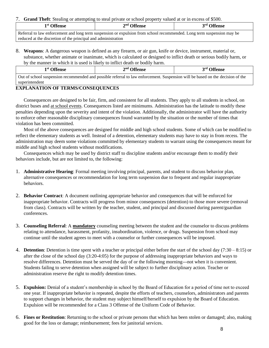#### 7. **Grand Theft**: Stealing or attempting to steal private or school property valued at or in excess of \$500.

| 1 <sup>st</sup> Offense                                                                                                | $2nd$ Offense | 3 <sup>rd</sup> Offense |  |  |
|------------------------------------------------------------------------------------------------------------------------|---------------|-------------------------|--|--|
| Referral to law enforcement and long term suspension or expulsion from school recommended. Long term suspension may be |               |                         |  |  |
| reduced at the discretion of the principal and administration                                                          |               |                         |  |  |

8. **Weapons**: A dangerous weapon is defined as any firearm, or air gun, knife or device, instrument, material or, substance, whether animate or inanimate, which is calculated or designed to inflict death or serious bodily harm, or by the manner in which it is used is likely to inflict death or bodily harm.

| 1 <sup>st</sup> Offense                                                                                                        | $2nd$ Offense | 3rd Offense |  |
|--------------------------------------------------------------------------------------------------------------------------------|---------------|-------------|--|
| Out of school suspension recommended and possible referral to law enforcement. Suspension will be based on the decision of the |               |             |  |

#### superintendent

# **EXPLANATION OF TERMS/CONSEQUENCES**

Consequences are designed to be fair, firm, and consistent for all students. They apply to all students in school, on district buses and at school events. Consequences listed are minimums. Administration has the latitude to modify these penalties depending upon the severity and intent of the violation. Additionally, the administrator will have the authority to enforce other reasonable disciplinary consequences found warranted by the situation or the number of times that violation has been committed.

Most of the above consequences are designed for middle and high school students. Some of which can be modified to reflect the elementary students as well. Instead of a detention, elementary students may have to stay in from recess. The administration may deem some violations committed by elementary students to warrant using the consequences meant for middle and high school students without modifications.

Consequences which may be used by district staff to discipline students and/or encourage them to modify their behaviors include, but are not limited to, the following:

- 1. **Administrative Hearing**: Formal meeting involving principal, parents, and student to discuss behavior plan, alternative consequences or recommendation for long term suspension due to frequent and regular inappropriate behaviors.
- 2. **Behavior Contract**: A document outlining appropriate behavior and consequences that will be enforced for inappropriate behavior. Contracts will progress from minor consequences (detention) to those more severe (removal from class). Contracts will be written by the teacher, student, and principal and discussed during parent/guardian conferences.
- 3. **Counseling Referral**: A **mandatory** counseling meeting between the student and the counselor to discuss problems relating to attendance, harassment, profanity, insubordination, violence, or drugs. Suspension from school may continue until the student agrees to meet with a counselor or further consequences will be imposed.
- 4. **Detention**: Detention is time spent with a teacher or principal either before the start of the school day (7:30 8:15) or after the close of the school day (3:20-4:05) for the purpose of addressing inappropriate behaviors and ways to resolve differences. Detention must be served the day of or the following morning---not when it is convenient. Students failing to serve detention when assigned will be subject to further disciplinary action. Teacher or administration reserve the right to modify detention times.
- 5. **Expulsion:** Denial of a student's membership in school by the Board of Education for a period of time not to exceed one year. If inappropriate behavior is repeated, despite the efforts of teachers, counselors, administrators and parents to support changes in behavior, the student may subject himself/herself to expulsion by the Board of Education. Expulsion will be recommended for a Class 3 Offense of the Uniform Code of Behavior.
- 6. **Fines or Restitution**: Returning to the school or private persons that which has been stolen or damaged; also, making good for the loss or damage; reimbursement; fees for janitorial services.